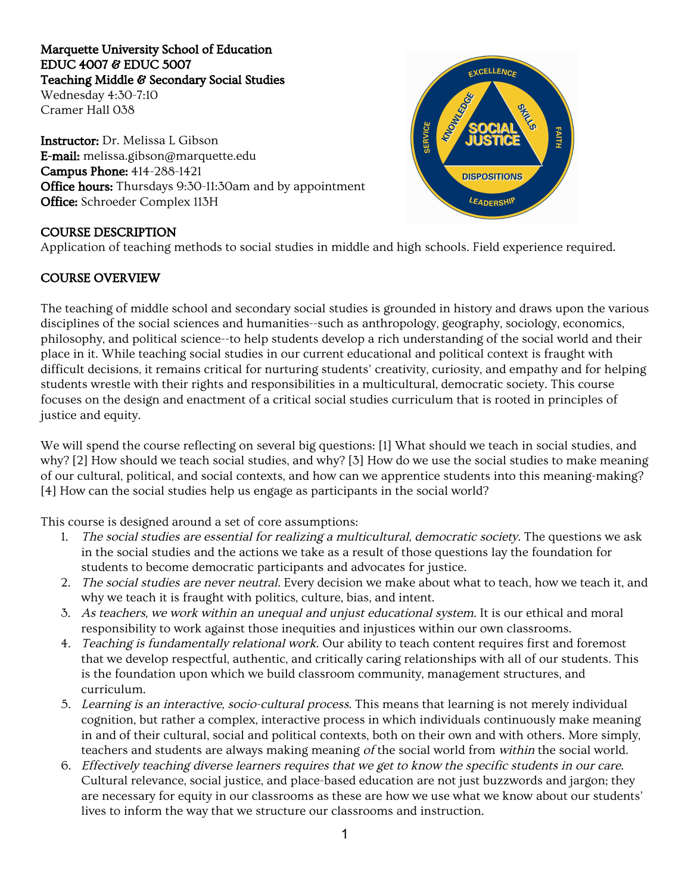# Marquette University School of Education EDUC 4007 & EDUC 5007 Teaching Middle & Secondary Social Studies

Wednesday 4:30-7:10 Cramer Hall 038

Instructor:Dr. Melissa L Gibson E-mail:melissa.gibson@marquette.edu Campus Phone: 414-288-1421 Office hours: Thursdays 9:30-11:30am and by appointment Office: Schroeder Complex 113H

## COURSE DESCRIPTION

Application of teaching methods to social studies in middle and high schools. Field experience required.

## COURSE OVERVIEW

The teaching of middle school and secondary social studies is grounded in history and draws upon the various disciplines of the social sciences and humanities--such as anthropology, geography, sociology, economics, philosophy, and political science--to help students develop a rich understanding of the social world and their place in it. While teaching social studies in our current educational and political context is fraught with difficult decisions, it remains critical for nurturing students' creativity, curiosity, and empathy and for helping students wrestle with their rights and responsibilities in a multicultural, democratic society. This course focuses on the design and enactment of a critical social studies curriculum that is rooted in principles of justice and equity.

We will spend the course reflecting on several big questions: [1] What should we teach in social studies, and why? [2] How should we teach social studies, and why? [3] How do we use the social studies to make meaning of our cultural, political, and social contexts, and how can we apprentice students into this meaning-making? [4] How can the social studies help us engage as participants in the social world?

This course is designed around a set of core assumptions:

- 1. The social studies are essential for realizing <sup>a</sup> multicultural, democratic society. The questions we ask in the social studies and the actions we take as a result of those questions lay the foundation for students to become democratic participants and advocates for justice.
- 2. The social studies are never neutral. Every decision we make about what to teach, how we teach it, and why we teach it is fraught with politics, culture, bias, and intent.
- 3. As teachers, we work within an unequal and unjust educational system. It is our ethical and moral responsibility to work against those inequities and injustices within our own classrooms.
- 4. Teaching is fundamentally relational work. Our ability to teach content requires first and foremost that we develop respectful, authentic, and critically caring relationships with all of our students. This is the foundation upon which we build classroom community, management structures, and curriculum.
- 5. Learning is an interactive, socio-cultural process. This means that learning is not merely individual cognition, but rather a complex, interactive process in which individuals continuously make meaning in and of their cultural, social and political contexts, both on their own and with others. More simply, teachers and students are always making meaning of the social world from within the social world.
- 6. Effectively teaching diverse learners requires that we get to know the specific students in our care. Cultural relevance, social justice, and place-based education are not just buzzwords and jargon; they are necessary for equity in our classrooms as these are how we use what we know about our students' lives to inform the way that we structure our classrooms and instruction.

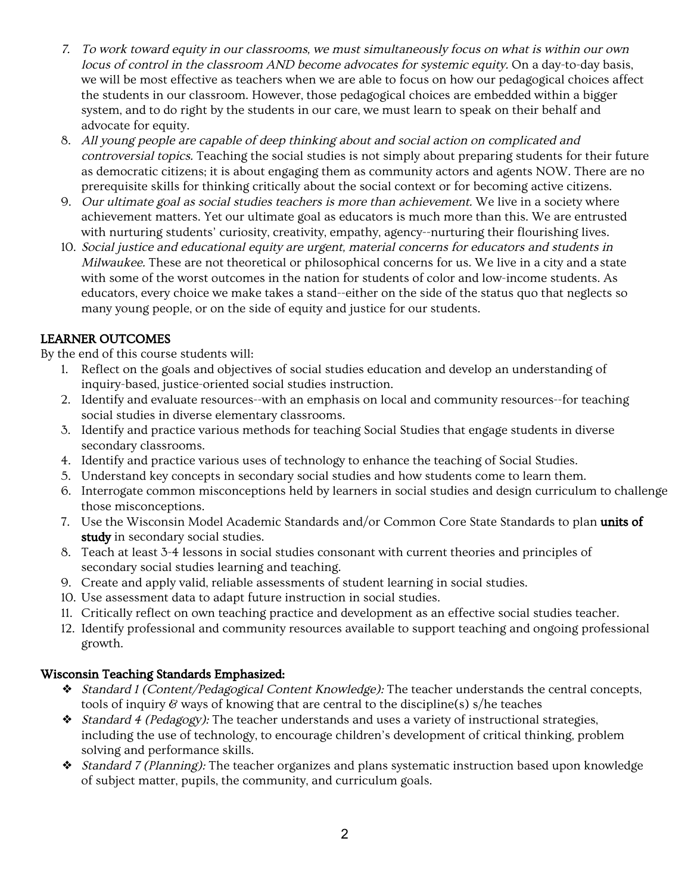- 7. To work toward equity in our classrooms, we must simultaneously focus on what is within our own locus of control in the classroom AND become advocates for systemic equity. On a day-to-day basis, we will be most effective as teachers when we are able to focus on how our pedagogical choices affect the students in our classroom. However, those pedagogical choices are embedded within a bigger system, and to do right by the students in our care, we must learn to speak on their behalf and advocate for equity.
- 8. All young people are capable of deep thinking about and social action on complicated and controversial topics. Teaching the social studies is not simply about preparing students for their future as democratic citizens; it is about engaging them as community actors and agents NOW. There are no prerequisite skills for thinking critically about the social context or for becoming active citizens.
- 9. Our ultimate goal as social studies teachers is more than achievement. We live in a society where achievement matters. Yet our ultimate goal as educators is much more than this. We are entrusted with nurturing students' curiosity, creativity, empathy, agency--nurturing their flourishing lives.
- 10. Social justice and educational equity are urgent, material concerns for educators and students in Milwaukee. These are not theoretical or philosophical concerns for us. We live in a city and a state with some of the worst outcomes in the nation for students of color and low-income students. As educators, every choice we make takes a stand--either on the side of the status quo that neglects so many young people, or on the side of equity and justice for our students.

# LEARNER OUTCOMES

By the end of this course students will:

- 1. Reflect on the goals and objectives of social studies education and develop an understanding of inquiry-based, justice-oriented social studies instruction.
- 2. Identify and evaluate resources--with an emphasis on local and community resources--for teaching social studies in diverse elementary classrooms.
- 3. Identify and practice various methods for teaching Social Studies that engage students in diverse secondary classrooms.
- 4. Identify and practice various uses of technology to enhance the teaching of Social Studies.
- 5. Understand key concepts in secondary social studies and how students come to learn them.
- 6. Interrogate common misconceptions held by learners in social studies and design curriculum to challenge those misconceptions.
- 7. Use the Wisconsin Model Academic Standards and/or Common Core State Standards to plan units of study in secondary social studies.
- 8. Teach at least 3-4 lessons in social studies consonant with current theories and principles of secondary social studies learning and teaching.
- 9. Create and apply valid, reliable assessments of student learning in social studies.
- 10. Use assessment data to adapt future instruction in social studies.
- 11. Critically reflect on own teaching practice and development as an effective social studies teacher.
- 12. Identify professional and community resources available to support teaching and ongoing professional growth.

## Wisconsin Teaching Standards Emphasized:

- ❖ Standard <sup>1</sup> (Content/Pedagogical Content Knowledge): The teacher understands the central concepts, tools of inquiry  $\mathscr G$  ways of knowing that are central to the discipline(s) s/he teaches
- ❖ Standard <sup>4</sup> (Pedagogy): The teacher understands and uses a variety of instructional strategies, including the use of technology, to encourage children's development of critical thinking, problem solving and performance skills.
- ❖ Standard <sup>7</sup> (Planning): The teacher organizes and plans systematic instruction based upon knowledge of subject matter, pupils, the community, and curriculum goals.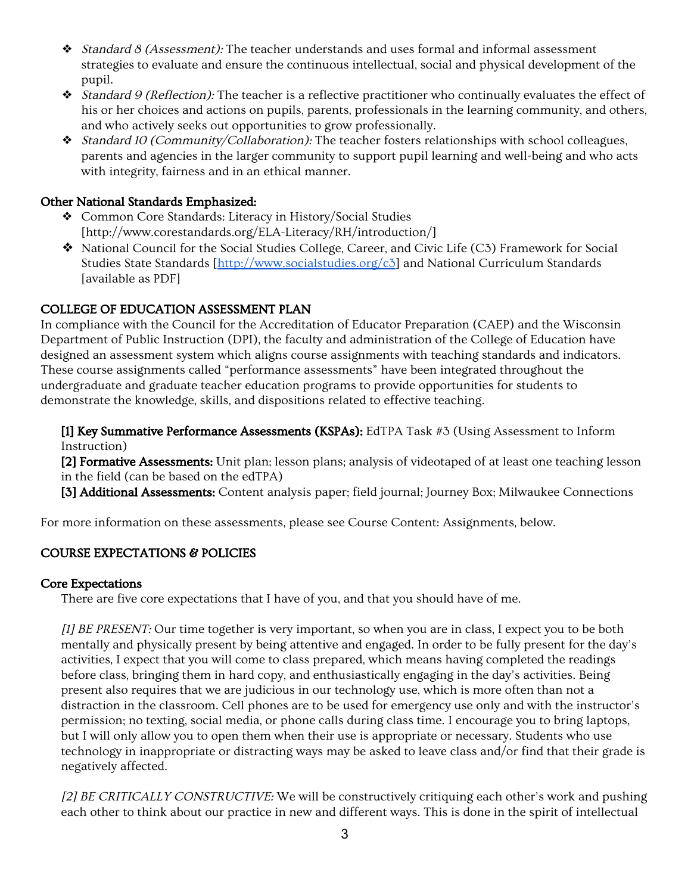- ❖ Standard <sup>8</sup> (Assessment): The teacher understands and uses formal and informal assessment strategies to evaluate and ensure the continuous intellectual, social and physical development of the pupil.
- ❖ Standard <sup>9</sup> (Reflection): The teacher is a reflective practitioner who continually evaluates the effect of his or her choices and actions on pupils, parents, professionals in the learning community, and others, and who actively seeks out opportunities to grow professionally.
- ❖ Standard <sup>10</sup> (Community/Collaboration): The teacher fosters relationships with school colleagues, parents and agencies in the larger community to support pupil learning and well-being and who acts with integrity, fairness and in an ethical manner.

## Other National Standards Emphasized:

- ❖ Common Core Standards: Literacy in History/Social Studies [http://www.corestandards.org/ELA-Literacy/RH/introduction/]
- ❖ National Council for the Social Studies College, Career, and Civic Life (C3) Framework for Social Studies State Standards [\[http://www.socialstudies.org/c3\]](http://www.socialstudies.org/c3) and National Curriculum Standards [available as PDF]

# COLLEGE OF EDUCATION ASSESSMENT PLAN

In compliance with the Council for the Accreditation of Educator Preparation (CAEP) and the Wisconsin Department of Public Instruction (DPI), the faculty and administration of the College of Education have designed an assessment system which aligns course assignments with teaching standards and indicators. These course assignments called "performance assessments" have been integrated throughout the undergraduate and graduate teacher education programs to provide opportunities for students to demonstrate the knowledge, skills, and dispositions related to effective teaching.

[1] Key Summative Performance Assessments (KSPAs): EdTPA Task #3 (Using Assessment to Inform Instruction)

[2] Formative Assessments: Unit plan; lesson plans; analysis of videotaped of at least one teaching lesson in the field (can be based on the edTPA)

[3] Additional Assessments: Content analysis paper; field journal; Journey Box; Milwaukee Connections

For more information on these assessments, please see Course Content: Assignments, below.

# COURSE EXPECTATIONS & POLICIES

## Core Expectations

There are five core expectations that I have of you, and that you should have of me.

[1] BE PRESENT: Our time together is very important, so when you are in class, I expect you to be both mentally and physically present by being attentive and engaged. In order to be fully present for the day's activities, I expect that you will come to class prepared, which means having completed the readings before class, bringing them in hard copy, and enthusiastically engaging in the day's activities. Being present also requires that we are judicious in our technology use, which is more often than not a distraction in the classroom. Cell phones are to be used for emergency use only and with the instructor's permission; no texting, social media, or phone calls during class time. I encourage you to bring laptops, but I will only allow you to open them when their use is appropriate or necessary. Students who use technology in inappropriate or distracting ways may be asked to leave class and/or find that their grade is negatively affected.

[2] BE CRITICALLY CONSTRUCTIVE: We will be constructively critiquing each other's work and pushing each other to think about our practice in new and different ways. This is done in the spirit of intellectual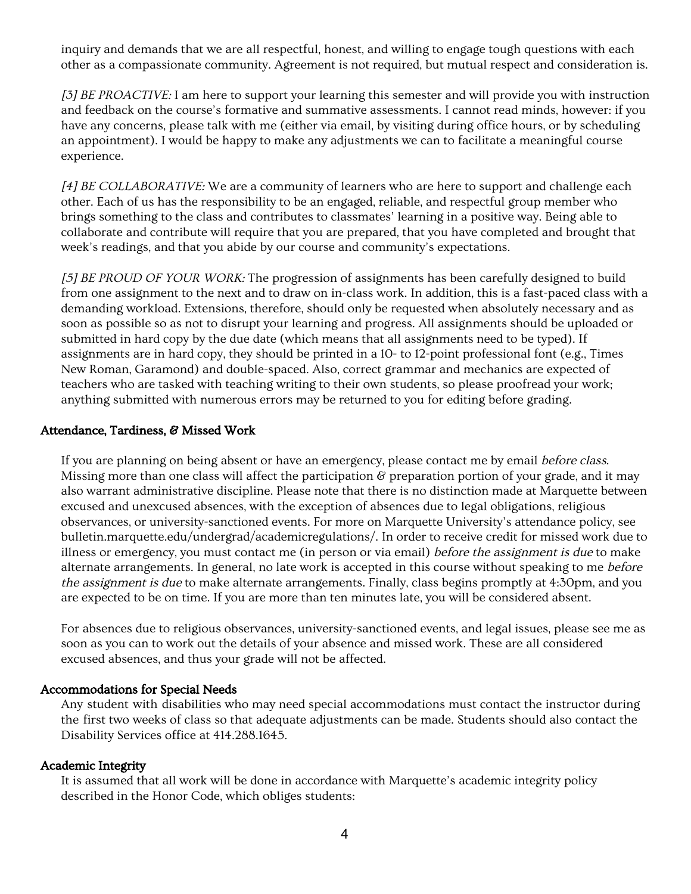inquiry and demands that we are all respectful, honest, and willing to engage tough questions with each other as a compassionate community. Agreement is not required, but mutual respect and consideration is.

[3] BE PROACTIVE: I am here to support your learning this semester and will provide you with instruction and feedback on the course's formative and summative assessments. I cannot read minds, however: if you have any concerns, please talk with me (either via email, by visiting during office hours, or by scheduling an appointment). I would be happy to make any adjustments we can to facilitate a meaningful course experience.

[4] BE COLLABORATIVE: We are a community of learners who are here to support and challenge each other. Each of us has the responsibility to be an engaged, reliable, and respectful group member who brings something to the class and contributes to classmates' learning in a positive way. Being able to collaborate and contribute will require that you are prepared, that you have completed and brought that week's readings, and that you abide by our course and community's expectations.

[5] BE PROUD OF YOUR WORK: The progression of assignments has been carefully designed to build from one assignment to the next and to draw on in-class work. In addition, this is a fast-paced class with a demanding workload. Extensions, therefore, should only be requested when absolutely necessary and as soon as possible so as not to disrupt your learning and progress. All assignments should be uploaded or submitted in hard copy by the due date (which means that all assignments need to be typed). If assignments are in hard copy, they should be printed in a 10- to 12-point professional font (e.g., Times New Roman, Garamond) and double-spaced. Also, correct grammar and mechanics are expected of teachers who are tasked with teaching writing to their own students, so please proofread your work; anything submitted with numerous errors may be returned to you for editing before grading.

#### Attendance, Tardiness, & Missed Work

If you are planning on being absent or have an emergency, please contact me by email before class. Missing more than one class will affect the participation  $\mathscr G$  preparation portion of your grade, and it may also warrant administrative discipline. Please note that there is no distinction made at Marquette between excused and unexcused absences, with the exception of absences due to legal obligations, religious observances, or university-sanctioned events. For more on Marquette University's attendance policy, see bulletin.marquette.edu/undergrad/academicregulations/. In order to receive credit for missed work due to illness or emergency, you must contact me (in person or via email) before the assignment is due to make alternate arrangements. In general, no late work is accepted in this course without speaking to me before the assignment is due to make alternate arrangements. Finally, class begins promptly at 4:30pm, and you are expected to be on time. If you are more than ten minutes late, you will be considered absent.

For absences due to religious observances, university-sanctioned events, and legal issues, please see me as soon as you can to work out the details of your absence and missed work. These are all considered excused absences, and thus your grade will not be affected.

#### Accommodations for Special Needs

Any student with disabilities who may need special accommodations must contact the instructor during the first two weeks of class so that adequate adjustments can be made. Students should also contact the Disability Services office at 414.288.1645.

#### Academic Integrity

It is assumed that all work will be done in accordance with Marquette's academic integrity policy described in the Honor Code, which obliges students: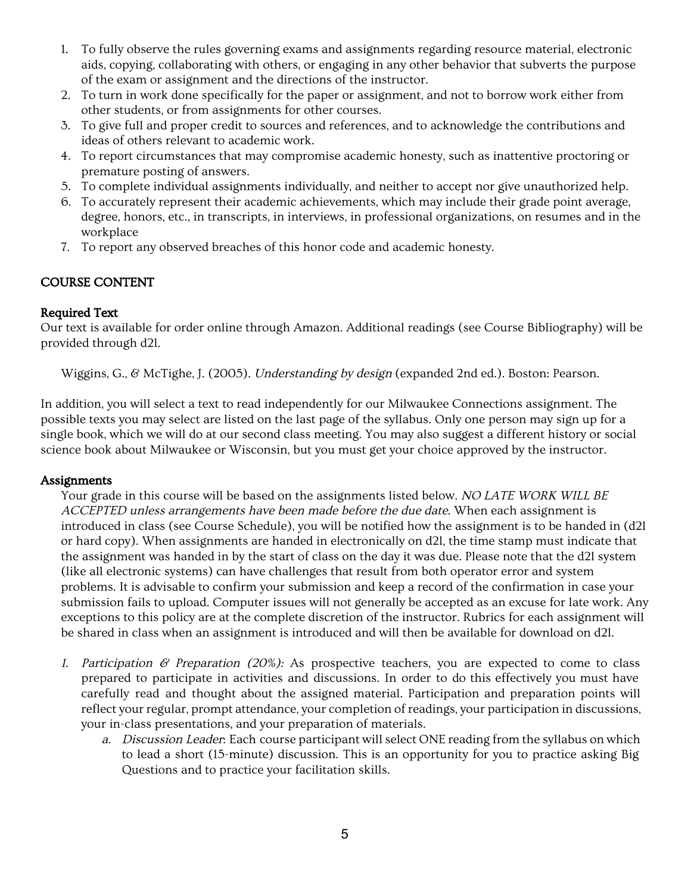- 1. To fully observe the rules governing exams and assignments regarding resource material, electronic aids, copying, collaborating with others, or engaging in any other behavior that subverts the purpose of the exam or assignment and the directions of the instructor.
- 2. To turn in work done specifically for the paper or assignment, and not to borrow work either from other students, or from assignments for other courses.
- 3. To give full and proper credit to sources and references, and to acknowledge the contributions and ideas of others relevant to academic work.
- 4. To report circumstances that may compromise academic honesty, such as inattentive proctoring or premature posting of answers.
- 5. To complete individual assignments individually, and neither to accept nor give unauthorized help.
- 6. To accurately represent their academic achievements, which may include their grade point average, degree, honors, etc., in transcripts, in interviews, in professional organizations, on resumes and in the workplace
- 7. To report any observed breaches of this honor code and academic honesty.

## COURSE CONTENT

### Required Text

Our text is available for order online through Amazon. Additional readings (see Course Bibliography) will be provided through d2l.

Wiggins, G., & McTighe, J. (2005). Understanding by design (expanded 2nd ed.). Boston: Pearson.

In addition, you will select a text to read independently for our Milwaukee Connections assignment. The possible texts you may select are listed on the last page of the syllabus. Only one person may sign up for a single book, which we will do at our second class meeting. You may also suggest a different history or social science book about Milwaukee or Wisconsin, but you must get your choice approved by the instructor.

### **Assignments**

Your grade in this course will be based on the assignments listed below. NO LATE WORK WILL BE ACCEPTED unless arrangements have been made before the due date. When each assignment is introduced in class (see Course Schedule), you will be notified how the assignment is to be handed in (d2l or hard copy). When assignments are handed in electronically on d2l, the time stamp must indicate that the assignment was handed in by the start of class on the day it was due. Please note that the d2l system (like all electronic systems) can have challenges that result from both operator error and system problems. It is advisable to confirm your submission and keep a record of the confirmation in case your submission fails to upload. Computer issues will not generally be accepted as an excuse for late work. Any exceptions to this policy are at the complete discretion of the instructor. Rubrics for each assignment will be shared in class when an assignment is introduced and will then be available for download on d2l.

- 1. Participation  $\mathscr G$  Preparation (20%): As prospective teachers, you are expected to come to class prepared to participate in activities and discussions. In order to do this effectively you must have carefully read and thought about the assigned material. Participation and preparation points will reflect your regular, prompt attendance, your completion of readings, your participation in discussions, your in-class presentations, and your preparation of materials.
	- a. Discussion Leader: Each course participant will select ONE reading from the syllabus on which to lead a short (15-minute) discussion. This is an opportunity for you to practice asking Big Questions and to practice your facilitation skills.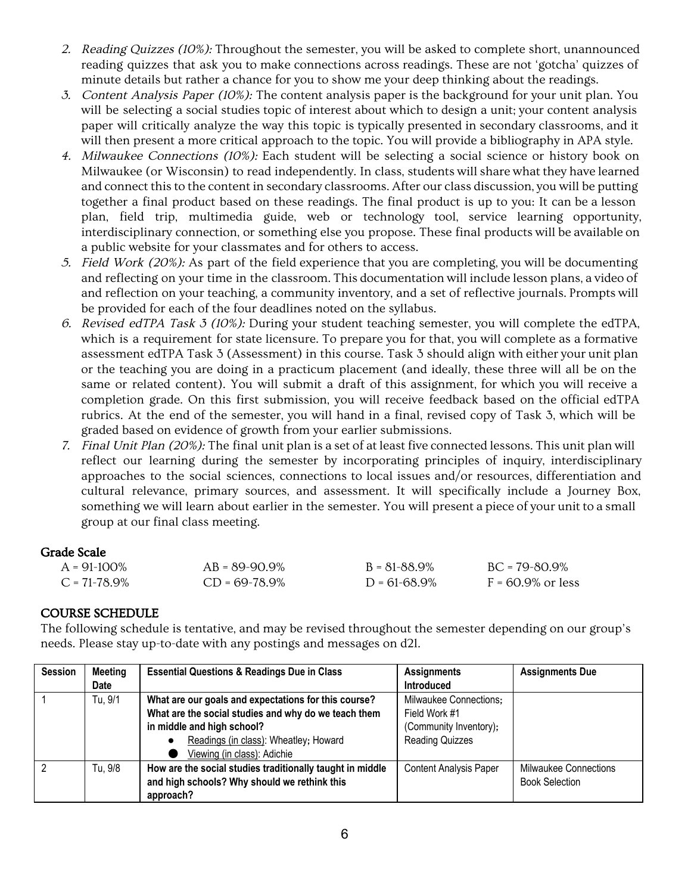- 2. Reading Quizzes (10%): Throughout the semester, you will be asked to complete short, unannounced reading quizzes that ask you to make connections across readings. These are not 'gotcha' quizzes of minute details but rather a chance for you to show me your deep thinking about the readings.
- 3. Content Analysis Paper (10%): The content analysis paper is the background for your unit plan. You will be selecting a social studies topic of interest about which to design a unit; your content analysis paper will critically analyze the way this topic is typically presented in secondary classrooms, and it will then present a more critical approach to the topic. You will provide a bibliography in APA style.
- 4. Milwaukee Connections (10%): Each student will be selecting a social science or history book on Milwaukee (or Wisconsin) to read independently. In class, students will share what they have learned and connect this to the content in secondary classrooms. After our class discussion, you will be putting together a final product based on these readings. The final product is up to you: It can be a lesson plan, field trip, multimedia guide, web or technology tool, service learning opportunity, interdisciplinary connection, or something else you propose. These final products will be available on a public website for your classmates and for others to access.
- 5. Field Work (20%): As part of the field experience that you are completing, you will be documenting and reflecting on your time in the classroom. This documentation will include lesson plans, a video of and reflection on your teaching, a community inventory, and a set of reflective journals. Prompts will be provided for each of the four deadlines noted on the syllabus.
- 6. Revised edTPA Task  $\delta$  (10%): During your student teaching semester, you will complete the edTPA, which is a requirement for state licensure. To prepare you for that, you will complete as a formative assessment edTPA Task 3 (Assessment) in this course. Task 3 should align with either your unit plan or the teaching you are doing in a practicum placement (and ideally, these three will all be on the same or related content). You will submit a draft of this assignment, for which you will receive a completion grade. On this first submission, you will receive feedback based on the official edTPA rubrics. At the end of the semester, you will hand in a final, revised copy of Task 3, which will be graded based on evidence of growth from your earlier submissions.
- 7. Final Unit Plan (20%): The final unit plan is a set of at least five connected lessons. This unit plan will reflect our learning during the semester by incorporating principles of inquiry, interdisciplinary approaches to the social sciences, connections to local issues and/or resources, differentiation and cultural relevance, primary sources, and assessment. It will specifically include a Journey Box, something we will learn about earlier in the semester. You will present a piece of your unit to a small group at our final class meeting.

## Grade Scale

| $A = 91-100\%$    | $AB = 89-90.9%$ | $B = 81 - 88.9\%$ | $BC = 79 - 80.9\%$   |
|-------------------|-----------------|-------------------|----------------------|
| $C = 71 - 78.9\%$ | $CD = 69-78.9%$ | $D = 61 - 68.9\%$ | $F = 60.9\%$ or less |

## COURSE SCHEDULE

The following schedule is tentative, and may be revised throughout the semester depending on our group's needs. Please stay up-to-date with any postings and messages on d2l.

| <b>Session</b> | <b>Meeting</b> | <b>Essential Questions &amp; Readings Due in Class</b>    | <b>Assignments</b>            | <b>Assignments Due</b>       |
|----------------|----------------|-----------------------------------------------------------|-------------------------------|------------------------------|
|                | Date           |                                                           | <b>Introduced</b>             |                              |
|                | Tu, 9/1        | What are our goals and expectations for this course?      | Milwaukee Connections:        |                              |
|                |                | What are the social studies and why do we teach them      | Field Work #1                 |                              |
|                |                | in middle and high school?                                | (Community Inventory);        |                              |
|                |                | Readings (in class): Wheatley; Howard                     | <b>Reading Quizzes</b>        |                              |
|                |                | Viewing (in class): Adichie                               |                               |                              |
| 2              | Tu, 9/8        | How are the social studies traditionally taught in middle | <b>Content Analysis Paper</b> | <b>Milwaukee Connections</b> |
|                |                | and high schools? Why should we rethink this              |                               | <b>Book Selection</b>        |
|                |                | approach?                                                 |                               |                              |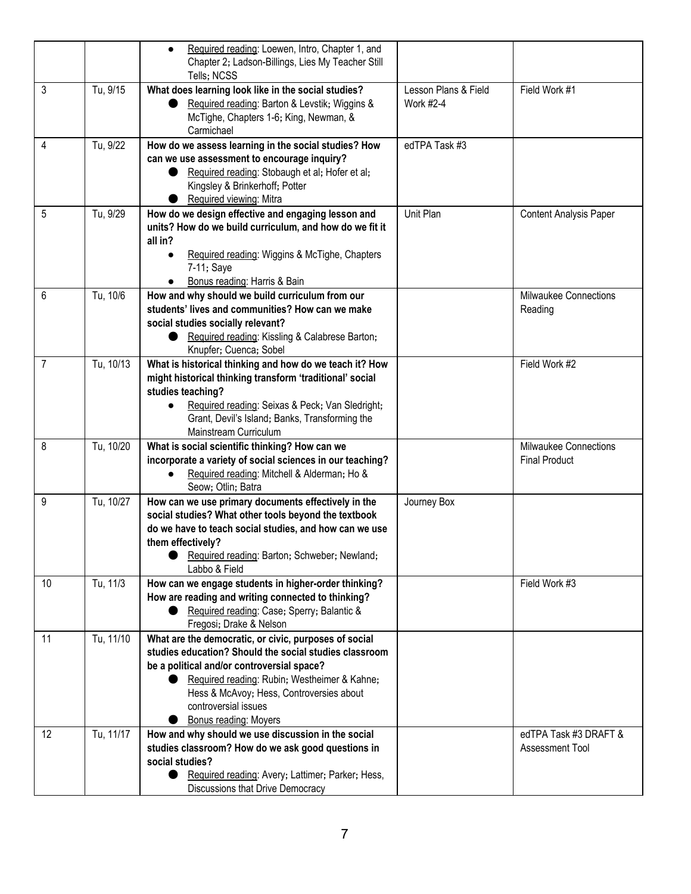|                |           | Required reading: Loewen, Intro, Chapter 1, and<br>$\bullet$<br>Chapter 2; Ladson-Billings, Lies My Teacher Still<br>Tells; NCSS                                                                                                                                                                           |                                   |                                               |
|----------------|-----------|------------------------------------------------------------------------------------------------------------------------------------------------------------------------------------------------------------------------------------------------------------------------------------------------------------|-----------------------------------|-----------------------------------------------|
| 3              | Tu, 9/15  | What does learning look like in the social studies?<br>Required reading: Barton & Levstik; Wiggins &<br>McTighe, Chapters 1-6; King, Newman, &<br>Carmichael                                                                                                                                               | Lesson Plans & Field<br>Work #2-4 | Field Work #1                                 |
| 4              | Tu, 9/22  | How do we assess learning in the social studies? How<br>can we use assessment to encourage inquiry?<br>Required reading: Stobaugh et al; Hofer et al;<br>Kingsley & Brinkerhoff; Potter<br>Required viewing: Mitra                                                                                         | edTPA Task #3                     |                                               |
| 5              | Tu, 9/29  | How do we design effective and engaging lesson and<br>units? How do we build curriculum, and how do we fit it<br>all in?<br>Required reading: Wiggins & McTighe, Chapters<br>7-11; Saye<br>Bonus reading: Harris & Bain                                                                                    | Unit Plan                         | <b>Content Analysis Paper</b>                 |
| 6              | Tu, 10/6  | How and why should we build curriculum from our<br>students' lives and communities? How can we make<br>social studies socially relevant?<br>Required reading: Kissling & Calabrese Barton;<br>Knupfer; Cuenca; Sobel                                                                                       |                                   | Milwaukee Connections<br>Reading              |
| $\overline{7}$ | Tu, 10/13 | What is historical thinking and how do we teach it? How<br>might historical thinking transform 'traditional' social<br>studies teaching?<br>Required reading: Seixas & Peck; Van Sledright;<br>Grant, Devil's Island; Banks, Transforming the<br>Mainstream Curriculum                                     |                                   | Field Work #2                                 |
| 8              | Tu, 10/20 | What is social scientific thinking? How can we<br>incorporate a variety of social sciences in our teaching?<br>Required reading: Mitchell & Alderman; Ho &<br>Seow; Otlin; Batra                                                                                                                           |                                   | Milwaukee Connections<br><b>Final Product</b> |
| 9              | Tu, 10/27 | How can we use primary documents effectively in the<br>social studies? What other tools beyond the textbook<br>do we have to teach social studies, and how can we use<br>them effectively?<br>Required reading: Barton; Schweber; Newland;<br>Labbo & Field                                                | Journey Box                       |                                               |
| 10             | Tu, 11/3  | How can we engage students in higher-order thinking?<br>How are reading and writing connected to thinking?<br>Required reading: Case; Sperry; Balantic &<br>Fregosi; Drake & Nelson                                                                                                                        |                                   | Field Work #3                                 |
| 11             | Tu, 11/10 | What are the democratic, or civic, purposes of social<br>studies education? Should the social studies classroom<br>be a political and/or controversial space?<br>Required reading: Rubin; Westheimer & Kahne;<br>Hess & McAvoy; Hess, Controversies about<br>controversial issues<br>Bonus reading: Moyers |                                   |                                               |
| 12             | Tu, 11/17 | How and why should we use discussion in the social<br>studies classroom? How do we ask good questions in<br>social studies?<br>Required reading: Avery; Lattimer; Parker; Hess,<br>Discussions that Drive Democracy                                                                                        |                                   | edTPA Task #3 DRAFT &<br>Assessment Tool      |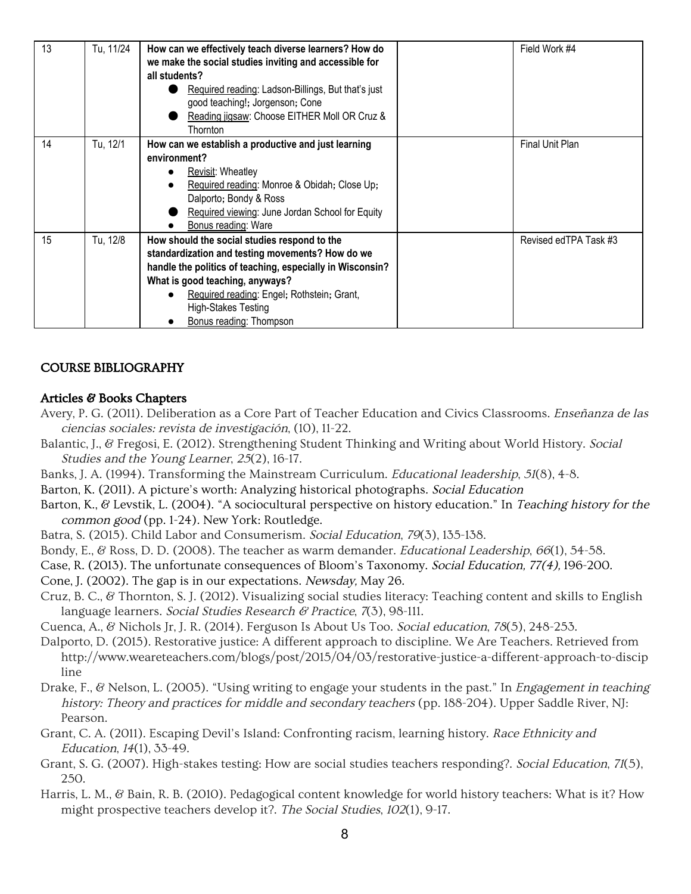| 13 | Tu, 11/24 | How can we effectively teach diverse learners? How do<br>we make the social studies inviting and accessible for<br>all students?<br>Required reading: Ladson-Billings, But that's just<br>good teaching!; Jorgenson; Cone<br>Reading jigsaw: Choose EITHER Moll OR Cruz &<br><b>Thornton</b>                   | Field Work #4          |
|----|-----------|----------------------------------------------------------------------------------------------------------------------------------------------------------------------------------------------------------------------------------------------------------------------------------------------------------------|------------------------|
| 14 | Tu, 12/1  | How can we establish a productive and just learning<br>environment?<br><b>Revisit: Wheatley</b><br>Required reading: Monroe & Obidah; Close Up;<br>Dalporto; Bondy & Ross<br>Required viewing: June Jordan School for Equity<br>Bonus reading: Ware                                                            | <b>Final Unit Plan</b> |
| 15 | Tu, 12/8  | How should the social studies respond to the<br>standardization and testing movements? How do we<br>handle the politics of teaching, especially in Wisconsin?<br>What is good teaching, anyways?<br>Required reading: Engel; Rothstein; Grant,<br><b>High-Stakes Testing</b><br><b>Bonus reading: Thompson</b> | Revised edTPA Task #3  |

### COURSE BIBLIOGRAPHY

#### Articles & Books Chapters

- Avery, P. G. (2011). Deliberation as a Core Part of Teacher Education and Civics Classrooms. *Enseñanza de las* ciencias sociales: revista de investigación, (10), 11-22.
- Balantic, J., & Fregosi, E. (2012). Strengthening Student Thinking and Writing about World History. Social Studies and the Young Learner, <sup>25</sup>(2), 16-17.
- Banks, J. A. (1994). Transforming the Mainstream Curriculum. Educational leadership, <sup>51</sup>(8), 4-8.
- Barton, K. (2011). A picture's worth: Analyzing historical photographs. Social Education
- Barton, K., & Levstik, L. (2004). "A sociocultural perspective on history education." In Teaching history for the common good (pp. 1-24). New York: Routledge.
- Batra, S. (2015). Child Labor and Consumerism. Social Education, <sup>79</sup>(3), 135-138.
- Bondy, E., & Ross, D. D. (2008). The teacher as warm demander. *Educational Leadership*, 66(1), 54-58.
- Case, R. (2013). The unfortunate consequences of Bloom's Taxonomy. Social Education, 77(4), 196-200.
- Cone, J. (2002). The gap is in our expectations. Newsday, May 26.
- Cruz, B. C., & Thornton, S. J. (2012). Visualizing social studies literacy: Teaching content and skills to English language learners. Social Studies Research & Practice, 7(3), 98-111.
- Cuenca, A., & Nichols Jr, J. R. (2014). Ferguson Is About Us Too. Social education, <sup>78</sup>(5), 248-253.
- Dalporto, D. (2015). Restorative justice: A different approach to discipline. We Are Teachers. Retrieved from http://www.weareteachers.com/blogs/post/2015/04/03/restorative-justice-a-different-approach-to-discip line
- Drake, F., & Nelson, L. (2005). "Using writing to engage your students in the past." In *Engagement in teaching* history: Theory and practices for middle and secondary teachers (pp. 188-204). Upper Saddle River, NJ: Pearson.
- Grant, C. A. (2011). Escaping Devil's Island: Confronting racism, learning history. Race Ethnicity and Education, <sup>14</sup>(1), 33-49.
- Grant, S. G. (2007). High-stakes testing: How are social studies teachers responding?. Social Education, <sup>71</sup>(5), 250.
- Harris, L. M., & Bain, R. B. (2010). Pedagogical content knowledge for world history teachers: What is it? How might prospective teachers develop it?. The Social Studies, <sup>102</sup>(1), 9-17.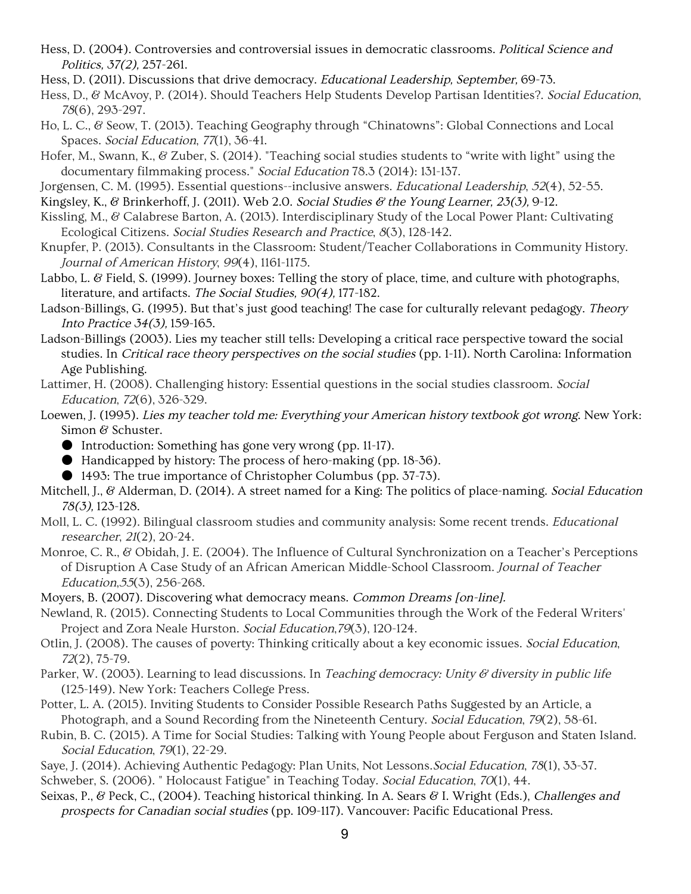- Hess, D. (2004). Controversies and controversial issues in democratic classrooms. Political Science and Politics, 37(2), 257-261.
- Hess, D. (2011). Discussions that drive democracy. Educational Leadership, September, 69-73.
- Hess, D., & McAvoy, P. (2014). Should Teachers Help Students Develop Partisan Identities?. Social Education, <sup>78</sup>(6), 293-297.
- Ho, L. C., & Seow, T. (2013). Teaching Geography through "Chinatowns": Global Connections and Local Spaces. Social Education, <sup>77</sup>(1), 36-41.
- Hofer, M., Swann, K., & Zuber, S. (2014). "Teaching social studies students to "write with light" using the documentary filmmaking process." Social Education 78.3 (2014): 131-137.
- Jorgensen, C. M. (1995). Essential questions--inclusive answers. Educational Leadership, <sup>52</sup>(4), 52-55.
- Kingsley, K., & Brinkerhoff, J. (2011). Web 2.0. Social Studies & the Young Learner, 23(3), 9-12.
- Kissling, M., & Calabrese Barton, A. (2013). Interdisciplinary Study of the Local Power Plant: Cultivating Ecological Citizens. Social Studies Research and Practice, <sup>8</sup>(3), 128-142.
- Knupfer, P. (2013). Consultants in the Classroom: Student/Teacher Collaborations in Community History. Journal of American History, <sup>99</sup>(4), 1161-1175.
- Labbo, L. & Field, S. (1999). Journey boxes: Telling the story of place, time, and culture with photographs, literature, and artifacts. The Social Studies, 90(4), 177-182.
- Ladson-Billings, G. (1995). But that's just good teaching! The case for culturally relevant pedagogy. Theory Into Practice 34(3), 159-165.
- Ladson-Billings (2003). Lies my teacher still tells: Developing a critical race perspective toward the social studies. In Critical race theory perspectives on the social studies (pp. 1-11). North Carolina: Information Age Publishing.
- Lattimer, H. (2008). Challenging history: Essential questions in the social studies classroom. Social Education, <sup>72</sup>(6), 326-329.
- Loewen, J. (1995). Lies my teacher told me: Everything your American history textbook got wrong. New York: Simon & Schuster.
	- Introduction: Something has gone very wrong (pp. 11-17).
	- Handicapped by history: The process of hero-making (pp. 18–36).
	- 1493: The true importance of Christopher Columbus (pp. 37-73).
- Mitchell, J., & Alderman, D. (2014). A street named for a King: The politics of place-naming. Social Education 78(3), 123-128.
- Moll, L. C. (1992). Bilingual classroom studies and community analysis: Some recent trends. Educational researcher, <sup>21</sup>(2), 20-24.
- Monroe, C. R., & Obidah, J. E. (2004). The Influence of Cultural Synchronization on a Teacher's Perceptions of Disruption A Case Study of an African American Middle-School Classroom. Journal of Teacher Education,55(3), 256-268.
- Moyers, B. (2007). Discovering what democracy means. Common Dreams [on-line].
- Newland, R. (2015). Connecting Students to Local Communities through the Work of the Federal Writers' Project and Zora Neale Hurston. Social Education,79(3), 120-124.
- Otlin, J. (2008). The causes of poverty: Thinking critically about a key economic issues. Social Education, <sup>72</sup>(2), 75-79.
- Parker, W. (2003). Learning to lead discussions. In *Teaching democracy: Unity*  $\mathscr G$  *diversity in public life* (125-149). New York: Teachers College Press.
- Potter, L. A. (2015). Inviting Students to Consider Possible Research Paths Suggested by an Article, a Photograph, and a Sound Recording from the Nineteenth Century. Social Education, <sup>79</sup>(2), 58-61.
- Rubin, B. C. (2015). A Time for Social Studies: Talking with Young People about Ferguson and Staten Island. Social Education, 79(1), 22-29.
- Saye, J. (2014). Achieving Authentic Pedagogy: Plan Units, Not Lessons. Social Education, 78(1), 33-37. Schweber, S. (2006). "Holocaust Fatigue" in Teaching Today. Social Education, 70(1), 44.
- Seixas, P., & Peck, C., (2004). Teaching historical thinking. In A. Sears & I. Wright (Eds.), Challenges and prospects for Canadian social studies (pp. 109-117). Vancouver: Pacific Educational Press.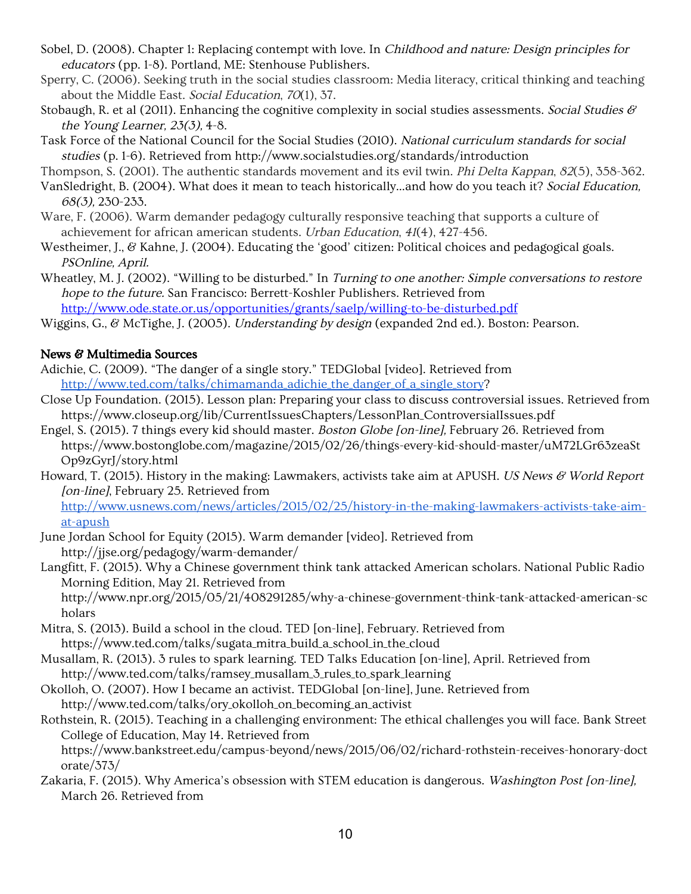- Sobel, D. (2008). Chapter 1: Replacing contempt with love. In Childhood and nature: Design principles for educators (pp. 1-8). Portland, ME: Stenhouse Publishers.
- Sperry, C. (2006). Seeking truth in the social studies classroom: Media literacy, critical thinking and teaching about the Middle East. Social Education, <sup>70</sup>(1), 37.
- Stobaugh, R. et al (2011). Enhancing the cognitive complexity in social studies assessments. Social Studies  $\mathscr{C}$ the Young Learner, 23(3), 4-8.
- Task Force of the National Council for the Social Studies (2010). National curriculum standards for social studies (p. 1-6). Retrieved from http://www.socialstudies.org/standards/introduction
- Thompson, S. (2001). The authentic standards movement and its evil twin. *Phi Delta Kappan*, 82(5), 358-362.
- VanSledright, B. (2004). What does it mean to teach historically...and how do you teach it? Social Education, 68(3), 230-233.
- Ware, F. (2006). Warm demander pedagogy culturally responsive teaching that supports a culture of achievement for african american students. Urban Education, <sup>41</sup>(4), 427-456.
- Westheimer, J., & Kahne, J. (2004). Educating the 'good' citizen: Political choices and pedagogical goals. PSOnline, April.
- Wheatley, M. J. (2002). "Willing to be disturbed." In Turning to one another: Simple conversations to restore hope to the future. San Francisco: Berrett-Koshler Publishers. Retrieved from

<http://www.ode.state.or.us/opportunities/grants/saelp/willing-to-be-disturbed.pdf>

Wiggins, G., & McTighe, J. (2005). Understanding by design (expanded 2nd ed.). Boston: Pearson.

## News & Multimedia Sources

- Adichie, C. (2009). "The danger of a single story." TEDGlobal [video]. Retrieved from [http://www.ted.com/talks/chimamanda\\_adichie\\_the\\_danger\\_of\\_a\\_single\\_story?](http://www.ted.com/talks/chimamanda_adichie_the_danger_of_a_single_story)
- Close Up Foundation. (2015). Lesson plan: Preparing your class to discuss controversial issues. Retrieved from https://www.closeup.org/lib/CurrentIssuesChapters/LessonPlan\_ControversialIssues.pdf
- Engel, S. (2015). 7 things every kid should master. Boston Globe [on-line], February 26. Retrieved from https://www.bostonglobe.com/magazine/2015/02/26/things-every-kid-should-master/uM72LGr63zeaSt Op9zGyrJ/story.html
- Howard, T. (2015). History in the making: Lawmakers, activists take aim at APUSH. US News & World Report [on-line], February 25. Retrieved from

[http://www.usnews.com/news/articles/2015/02/25/history-in-the-making-lawmakers-activists-take-aim](http://www.usnews.com/news/articles/2015/02/25/history-in-the-making-lawmakers-activists-take-aim-at-apush)[at-apush](http://www.usnews.com/news/articles/2015/02/25/history-in-the-making-lawmakers-activists-take-aim-at-apush)

- June Jordan School for Equity (2015). Warm demander [video]. Retrieved from http://jjse.org/pedagogy/warm-demander/
- Langfitt, F. (2015). Why a Chinese government think tank attacked American scholars. National Public Radio Morning Edition, May 21. Retrieved from http://www.npr.org/2015/05/21/408291285/why-a-chinese-government-think-tank-attacked-american-sc holars
- Mitra, S. (2013). Build a school in the cloud. TED [on-line], February. Retrieved from https://www.ted.com/talks/sugata\_mitra\_build\_a\_school\_in\_the\_cloud
- Musallam, R. (2013). 3 rules to spark learning. TED Talks Education [on-line], April. Retrieved from http://www.ted.com/talks/ramsey\_musallam\_3\_rules\_to\_spark\_learning
- Okolloh, O. (2007). How I became an activist. TEDGlobal [on-line], June. Retrieved from http://www.ted.com/talks/ory\_okolloh\_on\_becoming\_an\_activist
- Rothstein, R. (2015). Teaching in a challenging environment: The ethical challenges you will face. Bank Street College of Education, May 14. Retrieved from
	- https://www.bankstreet.edu/campus-beyond/news/2015/06/02/richard-rothstein-receives-honorary-doct orate/373/
- Zakaria, F. (2015). Why America's obsession with STEM education is dangerous. Washington Post [on-line], March 26. Retrieved from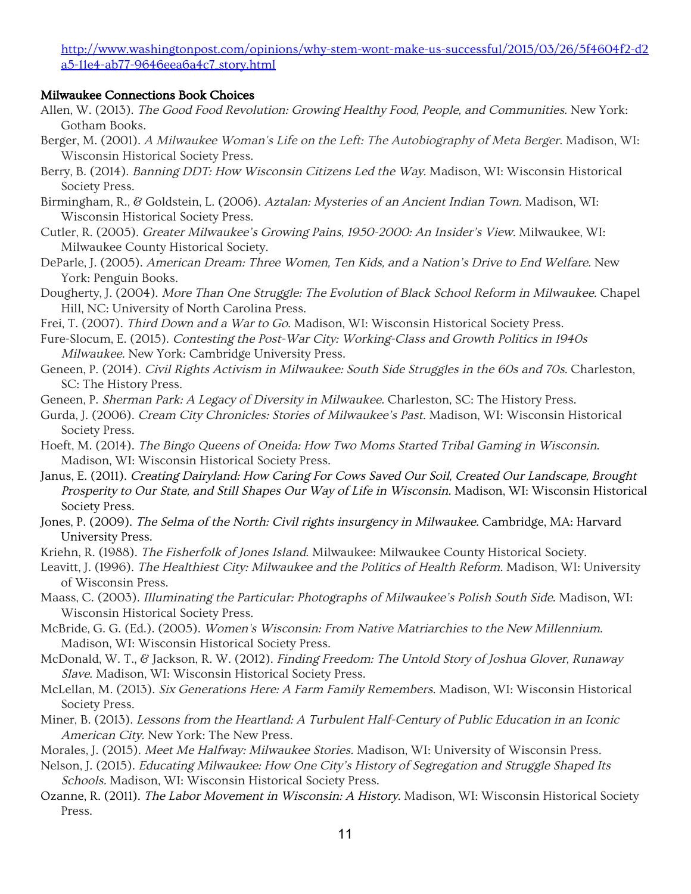[http://www.washingtonpost.com/opinions/why-stem-wont-make-us-successful/2015/03/26/5f4604f2-d2](http://www.washingtonpost.com/opinions/why-stem-wont-make-us-successful/2015/03/26/5f4604f2-d2a5-11e4-ab77-9646eea6a4c7_story.html) [a5-11e4-ab77-9646eea6a4c7\\_story.html](http://www.washingtonpost.com/opinions/why-stem-wont-make-us-successful/2015/03/26/5f4604f2-d2a5-11e4-ab77-9646eea6a4c7_story.html)

### Milwaukee Connections Book Choices

- Allen, W. (2013). The Good Food Revolution: Growing Healthy Food, People, and Communities. New York: Gotham Books.
- Berger, M. (2001). <sup>A</sup> Milwaukee Woman's Life on the Left: The Autobiography of Meta Berger. Madison, WI: Wisconsin Historical Society Press.
- Berry, B. (2014). Banning DDT: How Wisconsin Citizens Led the Way. Madison, WI: Wisconsin Historical Society Press.
- Birmingham, R., & Goldstein, L. (2006). Aztalan: Mysteries of an Ancient Indian Town. Madison, WI: Wisconsin Historical Society Press.
- Cutler, R. (2005). Greater Milwaukee's Growing Pains, 1950-2000: An Insider's View. Milwaukee, WI: Milwaukee County Historical Society.
- DeParle, J. (2005). American Dream: Three Women, Ten Kids, and <sup>a</sup> Nation's Drive to End Welfare. New York: Penguin Books.
- Dougherty, J. (2004). More Than One Struggle: The Evolution of Black School Reform in Milwaukee. Chapel Hill, NC: University of North Carolina Press.
- Frei, T. (2007). Third Down and <sup>a</sup> War to Go. Madison, WI: Wisconsin Historical Society Press.
- Fure-Slocum, E. (2015). Contesting the Post-War City: Working-Class and Growth Politics in 1940s Milwaukee. New York: Cambridge University Press.
- Geneen, P. (2014). Civil Rights Activism in Milwaukee: South Side Struggles in the 60s and 70s. Charleston, SC: The History Press.
- Geneen, P. Sherman Park: <sup>A</sup> Legacy of Diversity in Milwaukee. Charleston, SC: The History Press.
- Gurda, J. (2006). Cream City Chronicles: Stories of Milwaukee's Past. Madison, WI: Wisconsin Historical Society Press.
- Hoeft, M. (2014). The Bingo Queens of Oneida: How Two Moms Started Tribal Gaming in Wisconsin. Madison, WI: Wisconsin Historical Society Press.
- Janus, E. (2011). Creating Dairyland: How Caring For Cows Saved Our Soil, Created Our Landscape, Brought Prosperity to Our State, and Still Shapes Our Way of Life in Wisconsin. Madison, WI: Wisconsin Historical Society Press.
- Jones, P. (2009). The Selma of the North: Civil rights insurgency in Milwaukee. Cambridge, MA: Harvard University Press.
- Kriehn, R. (1988). The Fisherfolk of Jones Island. Milwaukee: Milwaukee County Historical Society.
- Leavitt, J. (1996). The Healthiest City: Milwaukee and the Politics of Health Reform. Madison, WI: University of Wisconsin Press.
- Maass, C. (2003). Illuminating the Particular: Photographs of Milwaukee's Polish South Side. Madison, WI: Wisconsin Historical Society Press.
- McBride, G. G. (Ed.). (2005). Women's Wisconsin: From Native Matriarchies to the New Millennium. Madison, WI: Wisconsin Historical Society Press.
- McDonald, W. T., & Jackson, R. W. (2012). Finding Freedom: The Untold Story of Joshua Glover, Runaway Slave. Madison, WI: Wisconsin Historical Society Press.
- McLellan, M. (2013). Six Generations Here: <sup>A</sup> Farm Family Remembers. Madison, WI: Wisconsin Historical Society Press.
- Miner, B. (2013). Lessons from the Heartland: <sup>A</sup> Turbulent Half-Century of Public Education in an Iconic American City. New York: The New Press.
- Morales, J. (2015). Meet Me Halfway: Milwaukee Stories. Madison, WI: University of Wisconsin Press.
- Nelson, J. (2015). Educating Milwaukee: How One City's History of Segregation and Struggle Shaped Its Schools. Madison, WI: Wisconsin Historical Society Press.
- Ozanne, R. (2011). The Labor Movement in Wisconsin: A History. Madison, WI: Wisconsin Historical Society Press.